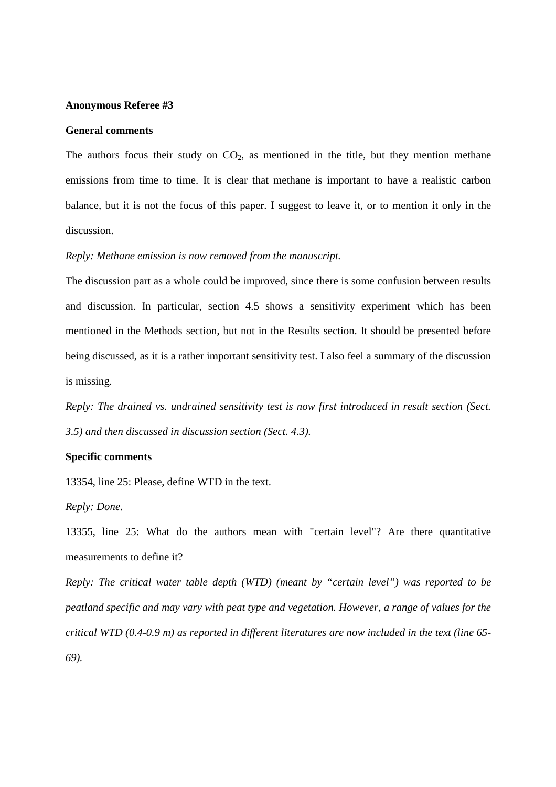#### **Anonymous Referee #3**

### **General comments**

The authors focus their study on  $CO<sub>2</sub>$ , as mentioned in the title, but they mention methane emissions from time to time. It is clear that methane is important to have a realistic carbon balance, but it is not the focus of this paper. I suggest to leave it, or to mention it only in the discussion.

# *Reply: Methane emission is now removed from the manuscript.*

The discussion part as a whole could be improved, since there is some confusion between results and discussion. In particular, section 4.5 shows a sensitivity experiment which has been mentioned in the Methods section, but not in the Results section. It should be presented before being discussed, as it is a rather important sensitivity test. I also feel a summary of the discussion is missing.

*Reply: The drained vs. undrained sensitivity test is now first introduced in result section (Sect. 3.5) and then discussed in discussion section (Sect. 4.3).* 

### **Specific comments**

13354, line 25: Please, define WTD in the text.

*Reply: Done.*

13355, line 25: What do the authors mean with "certain level"? Are there quantitative measurements to define it?

*Reply: The critical water table depth (WTD) (meant by "certain level") was reported to be peatland specific and may vary with peat type and vegetation. However, a range of values for the critical WTD (0.4-0.9 m) as reported in different literatures are now included in the text (line 65- 69).*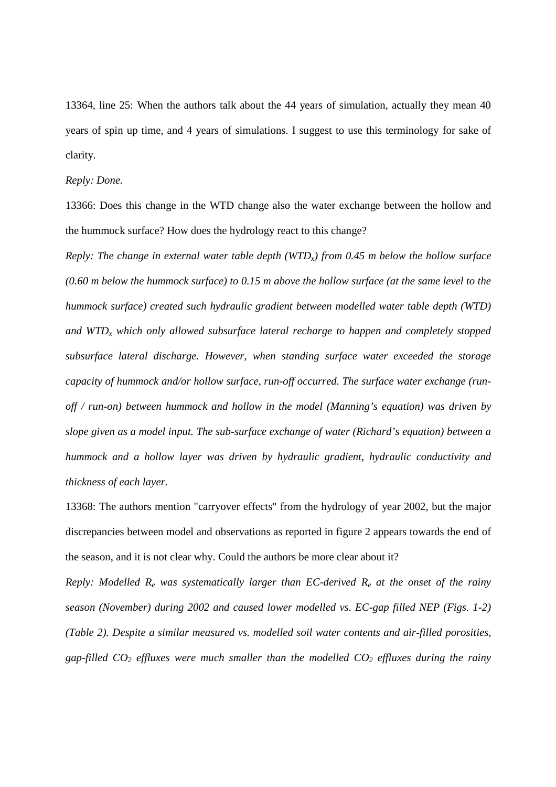13364, line 25: When the authors talk about the 44 years of simulation, actually they mean 40 years of spin up time, and 4 years of simulations. I suggest to use this terminology for sake of clarity.

# *Reply: Done.*

13366: Does this change in the WTD change also the water exchange between the hollow and the hummock surface? How does the hydrology react to this change?

*Reply: The change in external water table depth (WTDx) from 0.45 m below the hollow surface (0.60 m below the hummock surface) to 0.15 m above the hollow surface (at the same level to the hummock surface) created such hydraulic gradient between modelled water table depth (WTD) and WTDx which only allowed subsurface lateral recharge to happen and completely stopped subsurface lateral discharge. However, when standing surface water exceeded the storage capacity of hummock and/or hollow surface, run-off occurred. The surface water exchange (runoff / run-on) between hummock and hollow in the model (Manning's equation) was driven by slope given as a model input. The sub-surface exchange of water (Richard's equation) between a hummock and a hollow layer was driven by hydraulic gradient, hydraulic conductivity and thickness of each layer.*

13368: The authors mention "carryover effects" from the hydrology of year 2002, but the major discrepancies between model and observations as reported in figure 2 appears towards the end of the season, and it is not clear why. Could the authors be more clear about it?

*Reply: Modelled Re was systematically larger than EC-derived Re at the onset of the rainy season (November) during 2002 and caused lower modelled vs. EC-gap filled NEP (Figs. 1-2) (Table 2). Despite a similar measured vs. modelled soil water contents and air-filled porosities, gap-filled CO2 effluxes were much smaller than the modelled CO2 effluxes during the rainy*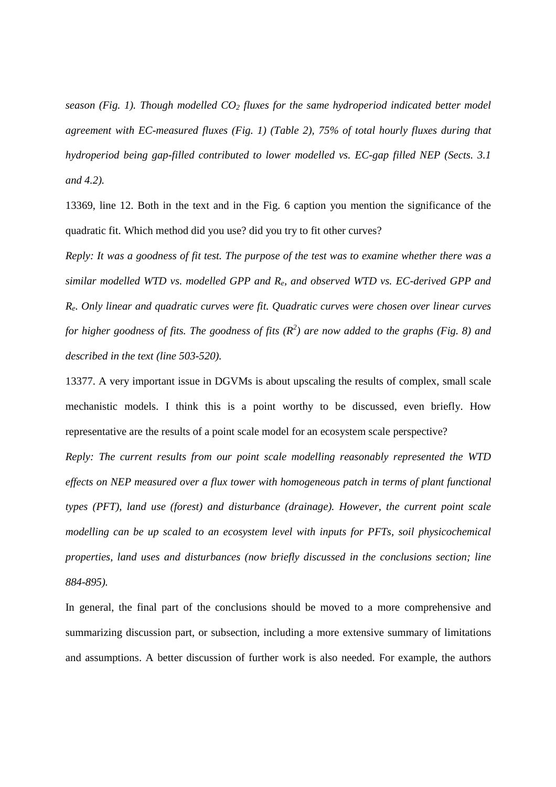*season (Fig. 1). Though modelled CO2 fluxes for the same hydroperiod indicated better model agreement with EC-measured fluxes (Fig. 1) (Table 2), 75% of total hourly fluxes during that hydroperiod being gap-filled contributed to lower modelled vs. EC-gap filled NEP (Sects. 3.1 and 4.2).* 

13369, line 12. Both in the text and in the Fig. 6 caption you mention the significance of the quadratic fit. Which method did you use? did you try to fit other curves?

*Reply: It was a goodness of fit test. The purpose of the test was to examine whether there was a similar modelled WTD vs. modelled GPP and Re, and observed WTD vs. EC-derived GPP and Re. Only linear and quadratic curves were fit. Quadratic curves were chosen over linear curves for higher goodness of fits. The goodness of fits (R 2 ) are now added to the graphs (Fig. 8) and described in the text (line 503-520).*

13377. A very important issue in DGVMs is about upscaling the results of complex, small scale mechanistic models. I think this is a point worthy to be discussed, even briefly. How representative are the results of a point scale model for an ecosystem scale perspective?

*Reply: The current results from our point scale modelling reasonably represented the WTD effects on NEP measured over a flux tower with homogeneous patch in terms of plant functional types (PFT), land use (forest) and disturbance (drainage). However, the current point scale modelling can be up scaled to an ecosystem level with inputs for PFTs, soil physicochemical properties, land uses and disturbances (now briefly discussed in the conclusions section; line 884-895).* 

In general, the final part of the conclusions should be moved to a more comprehensive and summarizing discussion part, or subsection, including a more extensive summary of limitations and assumptions. A better discussion of further work is also needed. For example, the authors